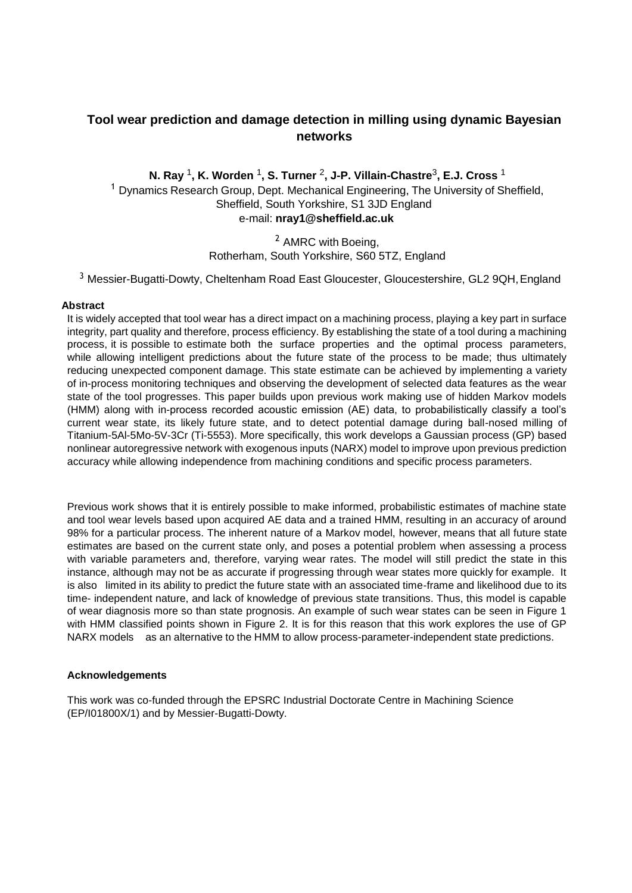# **Tool wear prediction and damage detection in milling using dynamic Bayesian networks**

### **N. Ray** <sup>1</sup> **, K. Worden** <sup>1</sup> **, S. Turner** <sup>2</sup> **, J-P. Villain-Chastre**<sup>3</sup> **, E.J. Cross** <sup>1</sup> <sup>1</sup> Dynamics Research Group, Dept. Mechanical Engineering, The University of Sheffield, Sheffield, South Yorkshire, S1 3JD England e-mail: **[nray1@sheffield.ac.uk](mailto:nray1@sheffield.ac.uk)**

## <sup>2</sup> AMRC with Boeing, Rotherham, South Yorkshire, S60 5TZ, England

<sup>3</sup> Messier-Bugatti-Dowty, Cheltenham Road East Gloucester, Gloucestershire, GL2 9QH, England

### **Abstract**

It is widely accepted that tool wear has a direct impact on a machining process, playing a key part in surface integrity, part quality and therefore, process efficiency. By establishing the state of a tool during a machining process, it is possible to estimate both the surface properties and the optimal process parameters, while allowing intelligent predictions about the future state of the process to be made; thus ultimately reducing unexpected component damage. This state estimate can be achieved by implementing a variety of in-process monitoring techniques and observing the development of selected data features as the wear state of the tool progresses. This paper builds upon previous work making use of hidden Markov models (HMM) along with in-process recorded acoustic emission (AE) data, to probabilistically classify a tool's current wear state, its likely future state, and to detect potential damage during ball-nosed milling of Titanium-5Al-5Mo-5V-3Cr (Ti-5553). More specifically, this work develops a Gaussian process (GP) based nonlinear autoregressive network with exogenous inputs (NARX) model to improve upon previous prediction accuracy while allowing independence from machining conditions and specific process parameters.

Previous work shows that it is entirely possible to make informed, probabilistic estimates of machine state and tool wear levels based upon acquired AE data and a trained HMM, resulting in an accuracy of around 98% for a particular process. The inherent nature of a Markov model, however, means that all future state estimates are based on the current state only, and poses a potential problem when assessing a process with variable parameters and, therefore, varying wear rates. The model will still predict the state in this instance, although may not be as accurate if progressing through wear states more quickly for example. It is also limited in its ability to predict the future state with an associated time-frame and likelihood due to its time- independent nature, and lack of knowledge of previous state transitions. Thus, this model is capable of wear diagnosis more so than state prognosis. An example of such wear states can be seen in Figure 1 with HMM classified points shown in Figure 2. It is for this reason that this work explores the use of GP NARX models as an alternative to the HMM to allow process-parameter-independent state predictions.

#### **Acknowledgements**

This work was co-funded through the EPSRC Industrial Doctorate Centre in Machining Science (EP/I01800X/1) and by Messier-Bugatti-Dowty.